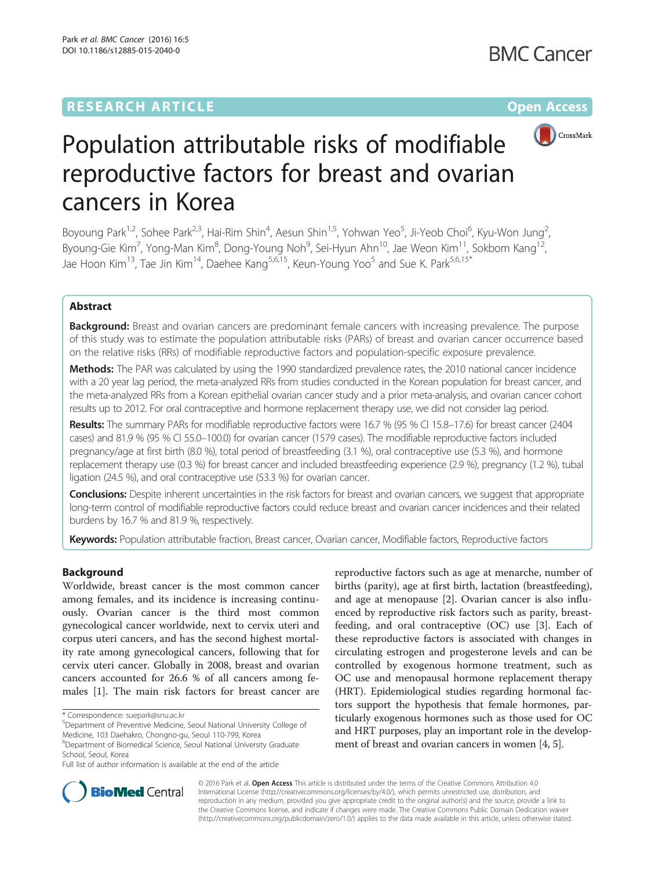# **RESEARCH ARTICLE Example 2014 12:30 The Contract of Contract ACCESS**



# Population attributable risks of modifiable reproductive factors for breast and ovarian cancers in Korea

Boyoung Park<sup>1,2</sup>, Sohee Park<sup>2,3</sup>, Hai-Rim Shin<sup>4</sup>, Aesun Shin<sup>1,5</sup>, Yohwan Yeo<sup>5</sup>, Ji-Yeob Choi<sup>6</sup>, Kyu-Won Jung<sup>2</sup> .<br>, Byoung-Gie Kim<sup>7</sup>, Yong-Man Kim<sup>8</sup>, Dong-Young Noh<sup>9</sup>, Sei-Hyun Ahn<sup>10</sup>, Jae Weon Kim<sup>11</sup>, Sokbom Kang<sup>12</sup>, Jae Hoon Kim<sup>13</sup>, Tae Jin Kim<sup>14</sup>, Daehee Kang<sup>5,6,15</sup>, Keun-Young Yoo<sup>5</sup> and Sue K. Park<sup>5,6,15\*</sup>

# Abstract

**Background:** Breast and ovarian cancers are predominant female cancers with increasing prevalence. The purpose of this study was to estimate the population attributable risks (PARs) of breast and ovarian cancer occurrence based on the relative risks (RRs) of modifiable reproductive factors and population-specific exposure prevalence.

Methods: The PAR was calculated by using the 1990 standardized prevalence rates, the 2010 national cancer incidence with a 20 year lag period, the meta-analyzed RRs from studies conducted in the Korean population for breast cancer, and the meta-analyzed RRs from a Korean epithelial ovarian cancer study and a prior meta-analysis, and ovarian cancer cohort results up to 2012. For oral contraceptive and hormone replacement therapy use, we did not consider lag period.

Results: The summary PARs for modifiable reproductive factors were 16.7 % (95 % CI 15.8–17.6) for breast cancer (2404 cases) and 81.9 % (95 % CI 55.0–100.0) for ovarian cancer (1579 cases). The modifiable reproductive factors included pregnancy/age at first birth (8.0 %), total period of breastfeeding (3.1 %), oral contraceptive use (5.3 %), and hormone replacement therapy use (0.3 %) for breast cancer and included breastfeeding experience (2.9 %), pregnancy (1.2 %), tubal ligation (24.5 %), and oral contraceptive use (53.3 %) for ovarian cancer.

Conclusions: Despite inherent uncertainties in the risk factors for breast and ovarian cancers, we suggest that appropriate long-term control of modifiable reproductive factors could reduce breast and ovarian cancer incidences and their related burdens by 16.7 % and 81.9 %, respectively.

Keywords: Population attributable fraction, Breast cancer, Ovarian cancer, Modifiable factors, Reproductive factors

# Background

Worldwide, breast cancer is the most common cancer among females, and its incidence is increasing continuously. Ovarian cancer is the third most common gynecological cancer worldwide, next to cervix uteri and corpus uteri cancers, and has the second highest mortality rate among gynecological cancers, following that for cervix uteri cancer. Globally in 2008, breast and ovarian cancers accounted for 26.6 % of all cancers among females [[1\]](#page-6-0). The main risk factors for breast cancer are

Department of Preventive Medicine, Seoul National University College of Medicine, 103 Daehakro, Chongno-gu, Seoul 110-799, Korea

6 Department of Biomedical Science, Seoul National University Graduate School, Seoul, Korea

reproductive factors such as age at menarche, number of births (parity), age at first birth, lactation (breastfeeding), and age at menopause [\[2](#page-6-0)]. Ovarian cancer is also influenced by reproductive risk factors such as parity, breastfeeding, and oral contraceptive (OC) use [\[3](#page-6-0)]. Each of these reproductive factors is associated with changes in circulating estrogen and progesterone levels and can be controlled by exogenous hormone treatment, such as OC use and menopausal hormone replacement therapy (HRT). Epidemiological studies regarding hormonal factors support the hypothesis that female hormones, particularly exogenous hormones such as those used for OC and HRT purposes, play an important role in the development of breast and ovarian cancers in women [\[4](#page-6-0), [5\]](#page-6-0).



© 2016 Park et al. Open Access This article is distributed under the terms of the Creative Commons Attribution 4.0 International License [\(http://creativecommons.org/licenses/by/4.0/](http://creativecommons.org/licenses/by/4.0/)), which permits unrestricted use, distribution, and reproduction in any medium, provided you give appropriate credit to the original author(s) and the source, provide a link to the Creative Commons license, and indicate if changes were made. The Creative Commons Public Domain Dedication waiver [\(http://creativecommons.org/publicdomain/zero/1.0/](http://creativecommons.org/publicdomain/zero/1.0/)) applies to the data made available in this article, unless otherwise stated.

<sup>\*</sup> Correspondence: [suepark@snu.ac.kr](mailto:suepark@snu.ac.kr) <sup>5</sup>

Full list of author information is available at the end of the article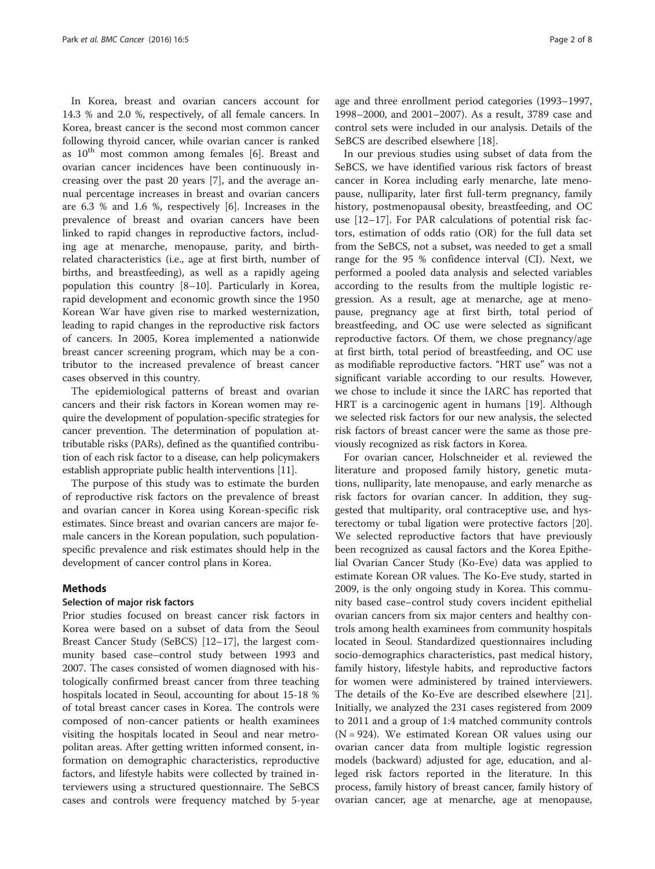In Korea, breast and ovarian cancers account for 14.3 % and 2.0 %, respectively, of all female cancers. In Korea, breast cancer is the second most common cancer following thyroid cancer, while ovarian cancer is ranked as  $10^{th}$  most common among females [[6\]](#page-6-0). Breast and ovarian cancer incidences have been continuously increasing over the past 20 years [[7](#page-6-0)], and the average annual percentage increases in breast and ovarian cancers are 6.3 % and 1.6 %, respectively [[6\]](#page-6-0). Increases in the prevalence of breast and ovarian cancers have been linked to rapid changes in reproductive factors, including age at menarche, menopause, parity, and birthrelated characteristics (i.e., age at first birth, number of births, and breastfeeding), as well as a rapidly ageing population this country [[8](#page-6-0)–[10\]](#page-6-0). Particularly in Korea, rapid development and economic growth since the 1950 Korean War have given rise to marked westernization, leading to rapid changes in the reproductive risk factors of cancers. In 2005, Korea implemented a nationwide breast cancer screening program, which may be a contributor to the increased prevalence of breast cancer cases observed in this country.

The epidemiological patterns of breast and ovarian cancers and their risk factors in Korean women may require the development of population-specific strategies for cancer prevention. The determination of population attributable risks (PARs), defined as the quantified contribution of each risk factor to a disease, can help policymakers establish appropriate public health interventions [\[11\]](#page-6-0).

The purpose of this study was to estimate the burden of reproductive risk factors on the prevalence of breast and ovarian cancer in Korea using Korean-specific risk estimates. Since breast and ovarian cancers are major female cancers in the Korean population, such populationspecific prevalence and risk estimates should help in the development of cancer control plans in Korea.

# Methods

## Selection of major risk factors

Prior studies focused on breast cancer risk factors in Korea were based on a subset of data from the Seoul Breast Cancer Study (SeBCS) [[12](#page-6-0)–[17](#page-7-0)], the largest community based case–control study between 1993 and 2007. The cases consisted of women diagnosed with histologically confirmed breast cancer from three teaching hospitals located in Seoul, accounting for about 15-18 % of total breast cancer cases in Korea. The controls were composed of non-cancer patients or health examinees visiting the hospitals located in Seoul and near metropolitan areas. After getting written informed consent, information on demographic characteristics, reproductive factors, and lifestyle habits were collected by trained interviewers using a structured questionnaire. The SeBCS cases and controls were frequency matched by 5-year

age and three enrollment period categories (1993–1997, 1998–2000, and 2001–2007). As a result, 3789 case and control sets were included in our analysis. Details of the SeBCS are described elsewhere [[18\]](#page-7-0).

In our previous studies using subset of data from the SeBCS, we have identified various risk factors of breast cancer in Korea including early menarche, late menopause, nulliparity, later first full-term pregnancy, family history, postmenopausal obesity, breastfeeding, and OC use [\[12](#page-6-0)–[17\]](#page-7-0). For PAR calculations of potential risk factors, estimation of odds ratio (OR) for the full data set from the SeBCS, not a subset, was needed to get a small range for the 95 % confidence interval (CI). Next, we performed a pooled data analysis and selected variables according to the results from the multiple logistic regression. As a result, age at menarche, age at menopause, pregnancy age at first birth, total period of breastfeeding, and OC use were selected as significant reproductive factors. Of them, we chose pregnancy/age at first birth, total period of breastfeeding, and OC use as modifiable reproductive factors. "HRT use" was not a significant variable according to our results. However, we chose to include it since the IARC has reported that HRT is a carcinogenic agent in humans [[19\]](#page-7-0). Although we selected risk factors for our new analysis, the selected risk factors of breast cancer were the same as those previously recognized as risk factors in Korea.

For ovarian cancer, Holschneider et al. reviewed the literature and proposed family history, genetic mutations, nulliparity, late menopause, and early menarche as risk factors for ovarian cancer. In addition, they suggested that multiparity, oral contraceptive use, and hysterectomy or tubal ligation were protective factors [\[20](#page-7-0)]. We selected reproductive factors that have previously been recognized as causal factors and the Korea Epithelial Ovarian Cancer Study (Ko-Eve) data was applied to estimate Korean OR values. The Ko-Eve study, started in 2009, is the only ongoing study in Korea. This community based case–control study covers incident epithelial ovarian cancers from six major centers and healthy controls among health examinees from community hospitals located in Seoul. Standardized questionnaires including socio-demographics characteristics, past medical history, family history, lifestyle habits, and reproductive factors for women were administered by trained interviewers. The details of the Ko-Eve are described elsewhere [\[21](#page-7-0)]. Initially, we analyzed the 231 cases registered from 2009 to 2011 and a group of 1:4 matched community controls  $(N = 924)$ . We estimated Korean OR values using our ovarian cancer data from multiple logistic regression models (backward) adjusted for age, education, and alleged risk factors reported in the literature. In this process, family history of breast cancer, family history of ovarian cancer, age at menarche, age at menopause,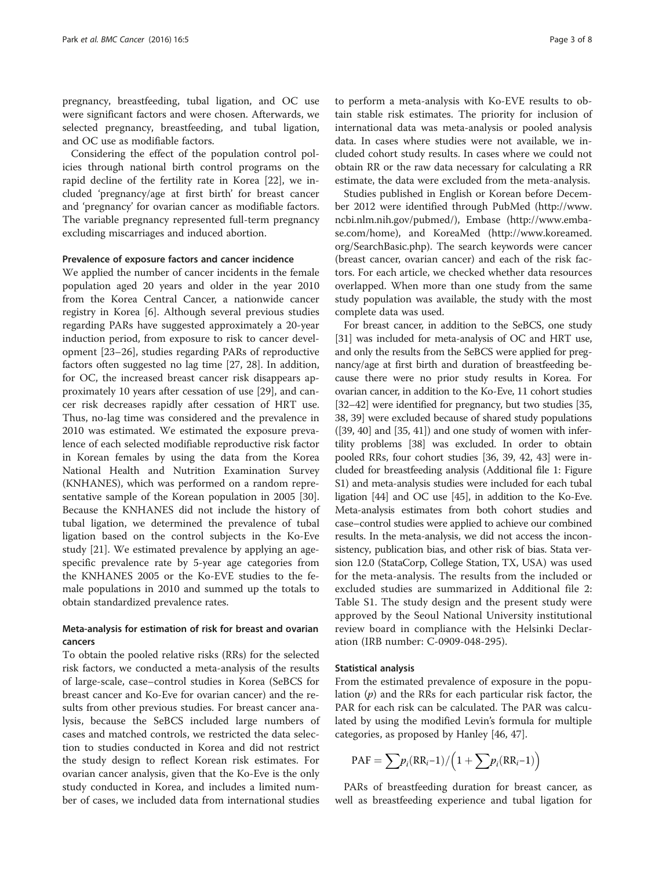pregnancy, breastfeeding, tubal ligation, and OC use were significant factors and were chosen. Afterwards, we selected pregnancy, breastfeeding, and tubal ligation, and OC use as modifiable factors.

Considering the effect of the population control policies through national birth control programs on the rapid decline of the fertility rate in Korea [[22](#page-7-0)], we included 'pregnancy/age at first birth' for breast cancer and 'pregnancy' for ovarian cancer as modifiable factors. The variable pregnancy represented full-term pregnancy excluding miscarriages and induced abortion.

#### Prevalence of exposure factors and cancer incidence

We applied the number of cancer incidents in the female population aged 20 years and older in the year 2010 from the Korea Central Cancer, a nationwide cancer registry in Korea [[6\]](#page-6-0). Although several previous studies regarding PARs have suggested approximately a 20-year induction period, from exposure to risk to cancer development [[23](#page-7-0)–[26](#page-7-0)], studies regarding PARs of reproductive factors often suggested no lag time [[27](#page-7-0), [28\]](#page-7-0). In addition, for OC, the increased breast cancer risk disappears approximately 10 years after cessation of use [[29](#page-7-0)], and cancer risk decreases rapidly after cessation of HRT use. Thus, no-lag time was considered and the prevalence in 2010 was estimated. We estimated the exposure prevalence of each selected modifiable reproductive risk factor in Korean females by using the data from the Korea National Health and Nutrition Examination Survey (KNHANES), which was performed on a random representative sample of the Korean population in 2005 [\[30](#page-7-0)]. Because the KNHANES did not include the history of tubal ligation, we determined the prevalence of tubal ligation based on the control subjects in the Ko-Eve study [[21\]](#page-7-0). We estimated prevalence by applying an agespecific prevalence rate by 5-year age categories from the KNHANES 2005 or the Ko-EVE studies to the female populations in 2010 and summed up the totals to obtain standardized prevalence rates.

# Meta-analysis for estimation of risk for breast and ovarian cancers

To obtain the pooled relative risks (RRs) for the selected risk factors, we conducted a meta-analysis of the results of large-scale, case–control studies in Korea (SeBCS for breast cancer and Ko-Eve for ovarian cancer) and the results from other previous studies. For breast cancer analysis, because the SeBCS included large numbers of cases and matched controls, we restricted the data selection to studies conducted in Korea and did not restrict the study design to reflect Korean risk estimates. For ovarian cancer analysis, given that the Ko-Eve is the only study conducted in Korea, and includes a limited number of cases, we included data from international studies

to perform a meta-analysis with Ko-EVE results to obtain stable risk estimates. The priority for inclusion of international data was meta-analysis or pooled analysis data. In cases where studies were not available, we included cohort study results. In cases where we could not obtain RR or the raw data necessary for calculating a RR estimate, the data were excluded from the meta-analysis.

Studies published in English or Korean before December 2012 were identified through PubMed ([http://www.](http://www.ncbi.nlm.nih.gov/pubmed/) [ncbi.nlm.nih.gov/pubmed/\)](http://www.ncbi.nlm.nih.gov/pubmed/), Embase [\(http://www.emba](http://www.embase.com/home)[se.com/home](http://www.embase.com/home)), and KoreaMed [\(http://www.koreamed.](http://www.koreamed.org/SearchBasic.php) [org/SearchBasic.php\)](http://www.koreamed.org/SearchBasic.php). The search keywords were cancer (breast cancer, ovarian cancer) and each of the risk factors. For each article, we checked whether data resources overlapped. When more than one study from the same study population was available, the study with the most complete data was used.

For breast cancer, in addition to the SeBCS, one study [[31](#page-7-0)] was included for meta-analysis of OC and HRT use, and only the results from the SeBCS were applied for pregnancy/age at first birth and duration of breastfeeding because there were no prior study results in Korea. For ovarian cancer, in addition to the Ko-Eve, 11 cohort studies [[32](#page-7-0)–[42\]](#page-7-0) were identified for pregnancy, but two studies [[35](#page-7-0), [38](#page-7-0), [39\]](#page-7-0) were excluded because of shared study populations  $([39, 40]$  $([39, 40]$  $([39, 40]$  $([39, 40]$  and  $[35, 41]$ ) and one study of women with infertility problems [[38](#page-7-0)] was excluded. In order to obtain pooled RRs, four cohort studies [[36](#page-7-0), [39, 42](#page-7-0), [43\]](#page-7-0) were included for breastfeeding analysis (Additional file [1:](#page-6-0) Figure S1) and meta-analysis studies were included for each tubal ligation [\[44\]](#page-7-0) and OC use [\[45](#page-7-0)], in addition to the Ko-Eve. Meta-analysis estimates from both cohort studies and case–control studies were applied to achieve our combined results. In the meta-analysis, we did not access the inconsistency, publication bias, and other risk of bias. Stata version 12.0 (StataCorp, College Station, TX, USA) was used for the meta-analysis. The results from the included or excluded studies are summarized in Additional file [2](#page-6-0): Table S1. The study design and the present study were approved by the Seoul National University institutional review board in compliance with the Helsinki Declaration (IRB number: C-0909-048-295).

#### Statistical analysis

From the estimated prevalence of exposure in the population  $(p)$  and the RRs for each particular risk factor, the PAR for each risk can be calculated. The PAR was calculated by using the modified Levin's formula for multiple categories, as proposed by Hanley [[46, 47\]](#page-7-0).

$$
PAF = \sum p_i (RR_i - 1) / \left(1 + \sum p_i (RR_i - 1)\right)
$$

PARs of breastfeeding duration for breast cancer, as well as breastfeeding experience and tubal ligation for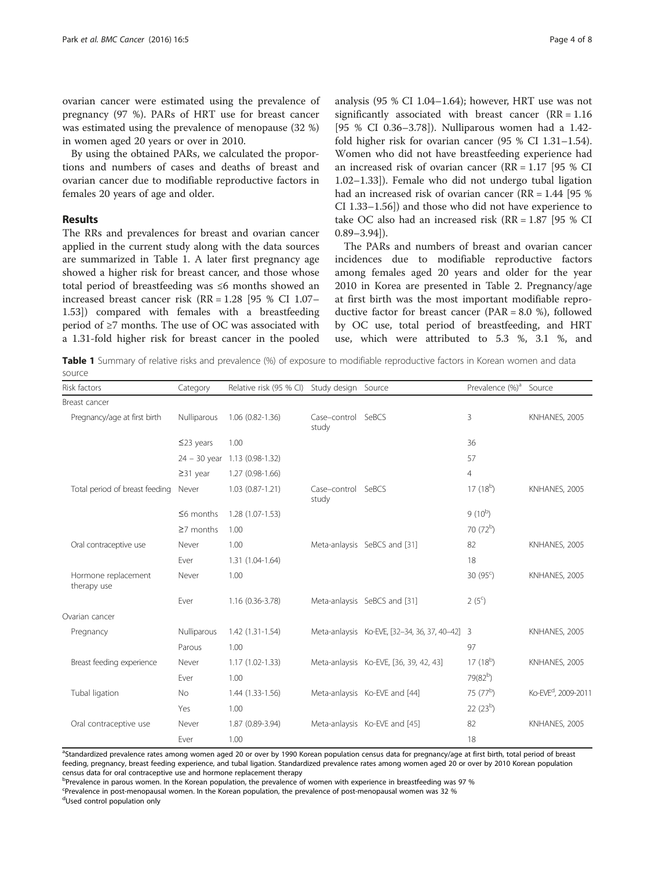ovarian cancer were estimated using the prevalence of pregnancy (97 %). PARs of HRT use for breast cancer was estimated using the prevalence of menopause (32 %) in women aged 20 years or over in 2010.

By using the obtained PARs, we calculated the proportions and numbers of cases and deaths of breast and ovarian cancer due to modifiable reproductive factors in females 20 years of age and older.

# Results

The RRs and prevalences for breast and ovarian cancer applied in the current study along with the data sources are summarized in Table 1. A later first pregnancy age showed a higher risk for breast cancer, and those whose total period of breastfeeding was ≤6 months showed an increased breast cancer risk (RR = 1.28 [95 % CI 1.07– 1.53]) compared with females with a breastfeeding period of ≥7 months. The use of OC was associated with a 1.31-fold higher risk for breast cancer in the pooled

analysis (95 % CI 1.04–1.64); however, HRT use was not significantly associated with breast cancer (RR = 1.16 [95 % CI 0.36–3.78]). Nulliparous women had a 1.42 fold higher risk for ovarian cancer (95 % CI 1.31–1.54). Women who did not have breastfeeding experience had an increased risk of ovarian cancer ( $RR = 1.17$  [95 % CI 1.02–1.33]). Female who did not undergo tubal ligation had an increased risk of ovarian cancer (RR = 1.44 [95 % CI 1.33–1.56]) and those who did not have experience to take OC also had an increased risk (RR = 1.87 [95 % CI 0.89–3.94]).

The PARs and numbers of breast and ovarian cancer incidences due to modifiable reproductive factors among females aged 20 years and older for the year 2010 in Korea are presented in Table [2.](#page-4-0) Pregnancy/age at first birth was the most important modifiable reproductive factor for breast cancer (PAR = 8.0 %), followed by OC use, total period of breastfeeding, and HRT use, which were attributed to 5.3 %, 3.1 %, and

Table 1 Summary of relative risks and prevalence (%) of exposure to modifiable reproductive factors in Korean women and data source

| Risk factors                       | Category        | Relative risk (95 % CI) Study design Source |                             |                                                | Prevalence (%) <sup>a</sup> | Source                          |
|------------------------------------|-----------------|---------------------------------------------|-----------------------------|------------------------------------------------|-----------------------------|---------------------------------|
| Breast cancer                      |                 |                                             |                             |                                                |                             |                                 |
| Pregnancy/age at first birth       | Nulliparous     | $1.06(0.82 - 1.36)$                         | Case-control SeBCS<br>study |                                                | 3                           | KNHANES, 2005                   |
|                                    | $\leq$ 23 years | 1.00                                        |                             |                                                | 36                          |                                 |
|                                    |                 | 24 - 30 year 1.13 (0.98-1.32)               |                             |                                                | 57                          |                                 |
|                                    | $\geq$ 31 year  | $1.27(0.98-1.66)$                           |                             |                                                | $\overline{4}$              |                                 |
| Total period of breast feeding     | Never           | $1.03(0.87-1.21)$                           | Case-control SeBCS<br>study |                                                | $17(18^{b})$                | KNHANES, 2005                   |
|                                    | $\leq$ 6 months | $1.28(1.07-1.53)$                           |                             |                                                | $9(10^{b})$                 |                                 |
|                                    | $\geq$ 7 months | 1.00                                        |                             |                                                | 70 $(72^b)$                 |                                 |
| Oral contraceptive use             | Never           | 1.00                                        |                             | Meta-anlaysis SeBCS and [31]                   | 82                          | KNHANES, 2005                   |
|                                    | Ever            | 1.31 (1.04-1.64)                            |                             |                                                | 18                          |                                 |
| Hormone replacement<br>therapy use | Never           | 1.00                                        |                             |                                                | 30 $(95^{\circ})$           | KNHANES, 2005                   |
|                                    | Ever            | 1.16 (0.36-3.78)                            |                             | Meta-anlaysis SeBCS and [31]                   | $2(5^{\circ})$              |                                 |
| Ovarian cancer                     |                 |                                             |                             |                                                |                             |                                 |
| Pregnancy                          | Nulliparous     | $1.42(1.31-1.54)$                           |                             | Meta-anlaysis Ko-EVE, [32-34, 36, 37, 40-42] 3 |                             | KNHANES, 2005                   |
|                                    | Parous          | 1.00                                        |                             |                                                | 97                          |                                 |
| Breast feeding experience          | Never           | $1.17(1.02-1.33)$                           |                             | Meta-anlaysis Ko-EVE, [36, 39, 42, 43]         | 17(18 <sup>b</sup> )        | KNHANES, 2005                   |
|                                    | Ever            | 1.00                                        |                             |                                                | $79(82^{b})$                |                                 |
| Tubal ligation                     | <b>No</b>       | $1.44(1.33-1.56)$                           |                             | Meta-anlaysis Ko-EVE and [44]                  | 75 $(77^b)$                 | Ko-EVE <sup>d</sup> , 2009-2011 |
|                                    | Yes             | 1.00                                        |                             |                                                | 22(23 <sup>b</sup> )        |                                 |
| Oral contraceptive use             | Never           | 1.87 (0.89-3.94)                            |                             | Meta-anlaysis Ko-EVE and [45]                  | 82                          | KNHANES, 2005                   |
|                                    | Ever            | 1.00                                        |                             |                                                | 18                          |                                 |

<sup>a</sup>Standardized prevalence rates among women aged 20 or over by 1990 Korean population census data for pregnancy/age at first birth, total period of breast feeding, pregnancy, breast feeding experience, and tubal ligation. Standardized prevalence rates among women aged 20 or over by 2010 Korean population census data for oral contraceptive use and hormone replacement therapy

b<br><sup>b</sup>Prevalence in parous women. In the Korean population, the prevalence of women with experience in breastfeeding was 97 %

c Prevalence in post-menopausal women. In the Korean population, the prevalence of post-menopausal women was 32 %

<sup>d</sup>Used control population only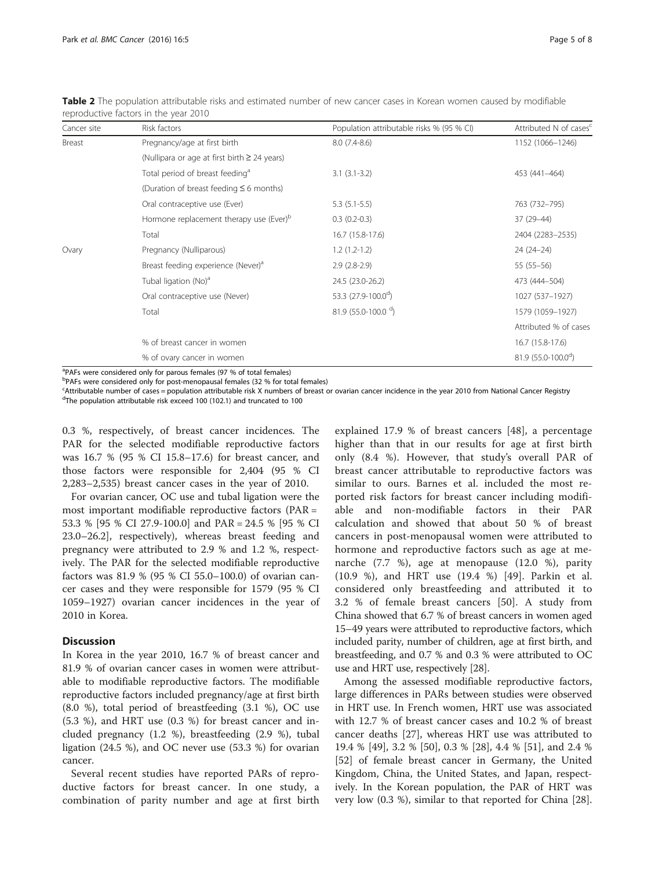| Cancer site | Risk factors                                        | Population attributable risks % (95 % CI) | Attributed N of cases <sup>c</sup> |
|-------------|-----------------------------------------------------|-------------------------------------------|------------------------------------|
| Breast      | Pregnancy/age at first birth                        | $8.0(7.4-8.6)$                            | 1152 (1066-1246)                   |
|             | (Nullipara or age at first birth $\geq$ 24 years)   |                                           |                                    |
|             | Total period of breast feeding <sup>a</sup>         | $3.1(3.1-3.2)$                            | 453 (441-464)                      |
|             | (Duration of breast feeding $\leq 6$ months)        |                                           |                                    |
|             | Oral contraceptive use (Ever)                       | $5.3(5.1-5.5)$                            | 763 (732-795)                      |
|             | Hormone replacement therapy use (Ever) <sup>b</sup> | $0.3(0.2-0.3)$                            | 37 (29-44)                         |
|             | Total                                               | 16.7 (15.8-17.6)                          | 2404 (2283-2535)                   |
| Ovary       | Pregnancy (Nulliparous)                             | $1.2(1.2-1.2)$                            | $24(24-24)$                        |
|             | Breast feeding experience (Never) <sup>a</sup>      | $2.9(2.8-2.9)$                            | $55(55-56)$                        |
|             | Tubal ligation (No) <sup>a</sup>                    | 24.5 (23.0-26.2)                          | 473 (444-504)                      |
|             | Oral contraceptive use (Never)                      | 53.3 (27.9-100.0 <sup>d</sup> )           | 1027 (537-1927)                    |
|             | Total                                               | 81.9 (55.0-100.0 $^{\circ}$ )             | 1579 (1059-1927)                   |
|             |                                                     |                                           | Attributed % of cases              |
|             | % of breast cancer in women                         |                                           | 16.7 (15.8-17.6)                   |
|             | % of ovary cancer in women                          |                                           | $81.9(55.0-100.0^d)$               |

<span id="page-4-0"></span>Table 2 The population attributable risks and estimated number of new cancer cases in Korean women caused by modifiable reproductive factors in the year 2010

<sup>a</sup>PAFs were considered only for parous females (97 % of total females)

<sup>b</sup>PAFs were considered only for post-menopausal females (32 % for total females)

c Attributable number of cases = population attributable risk X numbers of breast or ovarian cancer incidence in the year 2010 from National Cancer Registry <sup>d</sup>The population attributable risk exceed 100 (102.1) and truncated to 100

0.3 %, respectively, of breast cancer incidences. The PAR for the selected modifiable reproductive factors was 16.7 % (95 % CI 15.8–17.6) for breast cancer, and those factors were responsible for 2,404 (95 % CI 2,283–2,535) breast cancer cases in the year of 2010.

For ovarian cancer, OC use and tubal ligation were the most important modifiable reproductive factors (PAR = 53.3 % [95 % CI 27.9-100.0] and PAR = 24.5 % [95 % CI 23.0–26.2], respectively), whereas breast feeding and pregnancy were attributed to 2.9 % and 1.2 %, respectively. The PAR for the selected modifiable reproductive factors was 81.9 % (95 % CI 55.0–100.0) of ovarian cancer cases and they were responsible for 1579 (95 % CI 1059–1927) ovarian cancer incidences in the year of 2010 in Korea.

# **Discussion**

In Korea in the year 2010, 16.7 % of breast cancer and 81.9 % of ovarian cancer cases in women were attributable to modifiable reproductive factors. The modifiable reproductive factors included pregnancy/age at first birth (8.0 %), total period of breastfeeding (3.1 %), OC use (5.3 %), and HRT use (0.3 %) for breast cancer and included pregnancy (1.2 %), breastfeeding (2.9 %), tubal ligation (24.5 %), and OC never use (53.3 %) for ovarian cancer.

Several recent studies have reported PARs of reproductive factors for breast cancer. In one study, a combination of parity number and age at first birth

explained 17.9 % of breast cancers [\[48](#page-7-0)], a percentage higher than that in our results for age at first birth only (8.4 %). However, that study's overall PAR of breast cancer attributable to reproductive factors was similar to ours. Barnes et al. included the most reported risk factors for breast cancer including modifiable and non-modifiable factors in their PAR calculation and showed that about 50 % of breast cancers in post-menopausal women were attributed to hormone and reproductive factors such as age at menarche (7.7 %), age at menopause (12.0 %), parity (10.9 %), and HRT use (19.4 %) [[49\]](#page-7-0). Parkin et al. considered only breastfeeding and attributed it to 3.2 % of female breast cancers [[50\]](#page-7-0). A study from China showed that 6.7 % of breast cancers in women aged 15–49 years were attributed to reproductive factors, which included parity, number of children, age at first birth, and breastfeeding, and 0.7 % and 0.3 % were attributed to OC use and HRT use, respectively [\[28](#page-7-0)].

Among the assessed modifiable reproductive factors, large differences in PARs between studies were observed in HRT use. In French women, HRT use was associated with 12.7 % of breast cancer cases and 10.2 % of breast cancer deaths [[27\]](#page-7-0), whereas HRT use was attributed to 19.4 % [\[49](#page-7-0)], 3.2 % [\[50](#page-7-0)], 0.3 % [[28](#page-7-0)], 4.4 % [[51](#page-7-0)], and 2.4 % [[52\]](#page-7-0) of female breast cancer in Germany, the United Kingdom, China, the United States, and Japan, respectively. In the Korean population, the PAR of HRT was very low (0.3 %), similar to that reported for China [\[28](#page-7-0)].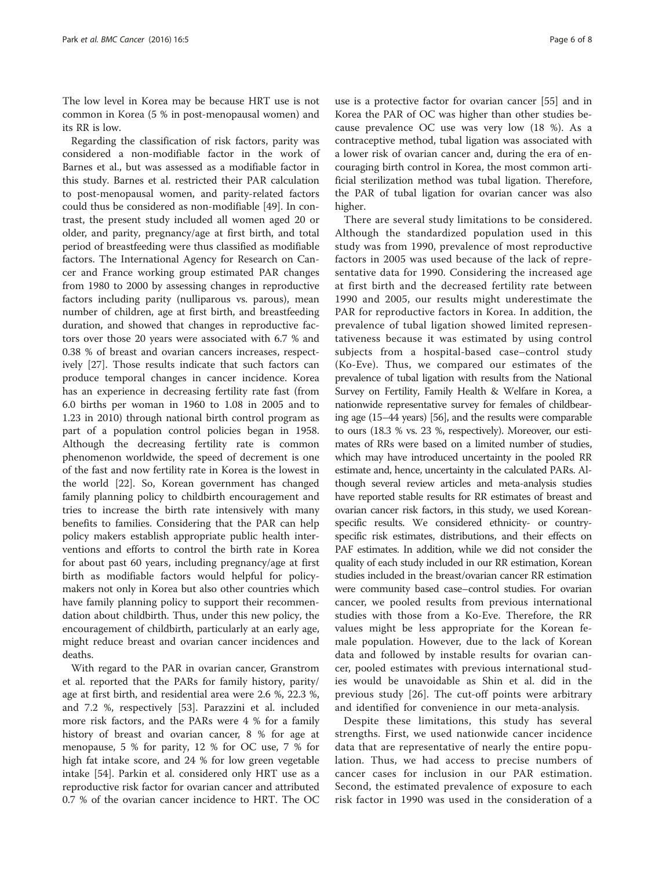The low level in Korea may be because HRT use is not common in Korea (5 % in post-menopausal women) and its RR is low.

Regarding the classification of risk factors, parity was considered a non-modifiable factor in the work of Barnes et al., but was assessed as a modifiable factor in this study. Barnes et al. restricted their PAR calculation to post-menopausal women, and parity-related factors could thus be considered as non-modifiable [\[49](#page-7-0)]. In contrast, the present study included all women aged 20 or older, and parity, pregnancy/age at first birth, and total period of breastfeeding were thus classified as modifiable factors. The International Agency for Research on Cancer and France working group estimated PAR changes from 1980 to 2000 by assessing changes in reproductive factors including parity (nulliparous vs. parous), mean number of children, age at first birth, and breastfeeding duration, and showed that changes in reproductive factors over those 20 years were associated with 6.7 % and 0.38 % of breast and ovarian cancers increases, respectively [[27\]](#page-7-0). Those results indicate that such factors can produce temporal changes in cancer incidence. Korea has an experience in decreasing fertility rate fast (from 6.0 births per woman in 1960 to 1.08 in 2005 and to 1.23 in 2010) through national birth control program as part of a population control policies began in 1958. Although the decreasing fertility rate is common phenomenon worldwide, the speed of decrement is one of the fast and now fertility rate in Korea is the lowest in the world [[22\]](#page-7-0). So, Korean government has changed family planning policy to childbirth encouragement and tries to increase the birth rate intensively with many benefits to families. Considering that the PAR can help policy makers establish appropriate public health interventions and efforts to control the birth rate in Korea for about past 60 years, including pregnancy/age at first birth as modifiable factors would helpful for policymakers not only in Korea but also other countries which have family planning policy to support their recommendation about childbirth. Thus, under this new policy, the encouragement of childbirth, particularly at an early age, might reduce breast and ovarian cancer incidences and deaths.

With regard to the PAR in ovarian cancer, Granstrom et al. reported that the PARs for family history, parity/ age at first birth, and residential area were 2.6 %, 22.3 %, and 7.2 %, respectively [[53\]](#page-7-0). Parazzini et al. included more risk factors, and the PARs were 4 % for a family history of breast and ovarian cancer, 8 % for age at menopause, 5 % for parity, 12 % for OC use, 7 % for high fat intake score, and 24 % for low green vegetable intake [[54\]](#page-7-0). Parkin et al. considered only HRT use as a reproductive risk factor for ovarian cancer and attributed 0.7 % of the ovarian cancer incidence to HRT. The OC

use is a protective factor for ovarian cancer [\[55\]](#page-7-0) and in Korea the PAR of OC was higher than other studies because prevalence OC use was very low (18 %). As a contraceptive method, tubal ligation was associated with a lower risk of ovarian cancer and, during the era of encouraging birth control in Korea, the most common artificial sterilization method was tubal ligation. Therefore, the PAR of tubal ligation for ovarian cancer was also higher.

There are several study limitations to be considered. Although the standardized population used in this study was from 1990, prevalence of most reproductive factors in 2005 was used because of the lack of representative data for 1990. Considering the increased age at first birth and the decreased fertility rate between 1990 and 2005, our results might underestimate the PAR for reproductive factors in Korea. In addition, the prevalence of tubal ligation showed limited representativeness because it was estimated by using control subjects from a hospital-based case–control study (Ko-Eve). Thus, we compared our estimates of the prevalence of tubal ligation with results from the National Survey on Fertility, Family Health & Welfare in Korea, a nationwide representative survey for females of childbearing age (15–44 years) [\[56](#page-7-0)], and the results were comparable to ours (18.3 % vs. 23 %, respectively). Moreover, our estimates of RRs were based on a limited number of studies, which may have introduced uncertainty in the pooled RR estimate and, hence, uncertainty in the calculated PARs. Although several review articles and meta-analysis studies have reported stable results for RR estimates of breast and ovarian cancer risk factors, in this study, we used Koreanspecific results. We considered ethnicity- or countryspecific risk estimates, distributions, and their effects on PAF estimates. In addition, while we did not consider the quality of each study included in our RR estimation, Korean studies included in the breast/ovarian cancer RR estimation were community based case–control studies. For ovarian cancer, we pooled results from previous international studies with those from a Ko-Eve. Therefore, the RR values might be less appropriate for the Korean female population. However, due to the lack of Korean data and followed by instable results for ovarian cancer, pooled estimates with previous international studies would be unavoidable as Shin et al. did in the previous study [[26\]](#page-7-0). The cut-off points were arbitrary and identified for convenience in our meta-analysis.

Despite these limitations, this study has several strengths. First, we used nationwide cancer incidence data that are representative of nearly the entire population. Thus, we had access to precise numbers of cancer cases for inclusion in our PAR estimation. Second, the estimated prevalence of exposure to each risk factor in 1990 was used in the consideration of a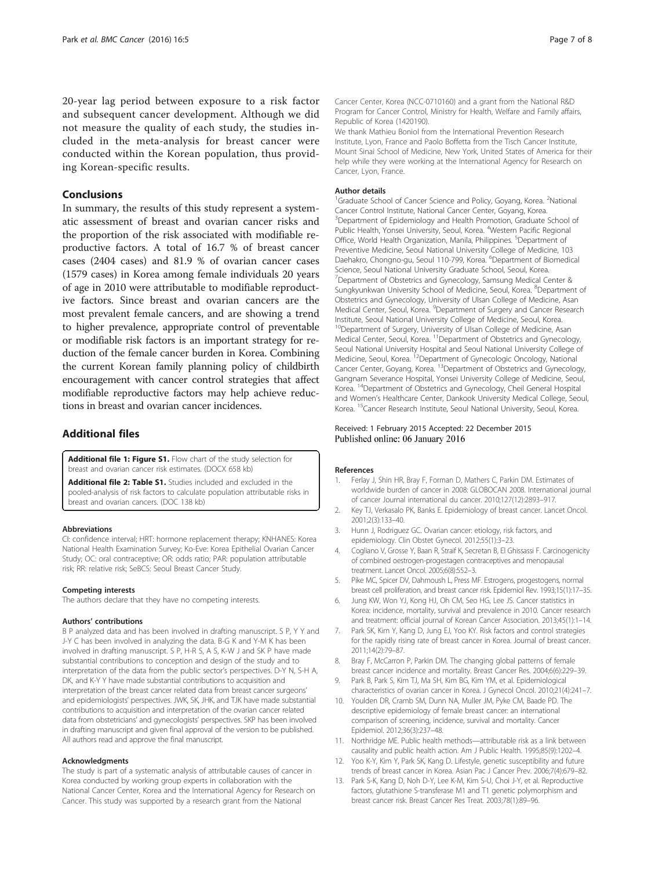<span id="page-6-0"></span>20-year lag period between exposure to a risk factor and subsequent cancer development. Although we did not measure the quality of each study, the studies included in the meta-analysis for breast cancer were conducted within the Korean population, thus providing Korean-specific results.

# Conclusions

In summary, the results of this study represent a systematic assessment of breast and ovarian cancer risks and the proportion of the risk associated with modifiable reproductive factors. A total of 16.7 % of breast cancer cases (2404 cases) and 81.9 % of ovarian cancer cases (1579 cases) in Korea among female individuals 20 years of age in 2010 were attributable to modifiable reproductive factors. Since breast and ovarian cancers are the most prevalent female cancers, and are showing a trend to higher prevalence, appropriate control of preventable or modifiable risk factors is an important strategy for reduction of the female cancer burden in Korea. Combining the current Korean family planning policy of childbirth encouragement with cancer control strategies that affect modifiable reproductive factors may help achieve reductions in breast and ovarian cancer incidences.

# Additional files

[Additional file 1: Figure S1.](dx.doi.org/10.1186/s12885-015-2040-0) Flow chart of the study selection for breast and ovarian cancer risk estimates. (DOCX 658 kb)

[Additional file 2: Table S1.](dx.doi.org/10.1186/s12885-015-2040-0) Studies included and excluded in the pooled-analysis of risk factors to calculate population attributable risks in breast and ovarian cancers. (DOC 138 kb)

#### Abbreviations

CI: confidence interval; HRT: hormone replacement therapy; KNHANES: Korea National Health Examination Survey; Ko-Eve: Korea Epithelial Ovarian Cancer Study; OC: oral contraceptive; OR: odds ratio; PAR: population attributable risk; RR: relative risk; SeBCS: Seoul Breast Cancer Study.

#### Competing interests

The authors declare that they have no competing interests.

#### Authors' contributions

B P analyzed data and has been involved in drafting manuscript. S P, Y Y and J-Y C has been involved in analyzing the data. B-G K and Y-M K has been involved in drafting manuscript. S P, H-R S, A S, K-W J and SK P have made substantial contributions to conception and design of the study and to interpretation of the data from the public sector's perspectives. D-Y N, S-H A, DK, and K-Y Y have made substantial contributions to acquisition and interpretation of the breast cancer related data from breast cancer surgeons' and epidemiologists' perspectives. JWK, SK, JHK, and TJK have made substantial contributions to acquisition and interpretation of the ovarian cancer related data from obstetricians' and gynecologists' perspectives. SKP has been involved in drafting manuscript and given final approval of the version to be published. All authors read and approve the final manuscript.

#### Acknowledgments

The study is part of a systematic analysis of attributable causes of cancer in Korea conducted by working group experts in collaboration with the National Cancer Center, Korea and the International Agency for Research on Cancer. This study was supported by a research grant from the National

Cancer Center, Korea (NCC-0710160) and a grant from the National R&D Program for Cancer Control, Ministry for Health, Welfare and Family affairs, Republic of Korea (1420190).

We thank Mathieu Boniol from the International Prevention Research Institute, Lyon, France and Paolo Boffetta from the Tisch Cancer Institute, Mount Sinai School of Medicine, New York, United States of America for their help while they were working at the International Agency for Research on Cancer, Lyon, France.

#### Author details

<sup>1</sup>Graduate School of Cancer Science and Policy, Goyang, Korea. <sup>2</sup>National Cancer Control Institute, National Cancer Center, Goyang, Korea. <sup>3</sup>Department of Epidemiology and Health Promotion, Graduate School of Public Health, Yonsei University, Seoul, Korea. <sup>4</sup>Western Pacific Regional Office, World Health Organization, Manila, Philippines. <sup>5</sup>Department of Preventive Medicine, Seoul National University College of Medicine, 103 Daehakro, Chongno-gu, Seoul 110-799, Korea. <sup>6</sup>Department of Biomedical Science, Seoul National University Graduate School, Seoul, Korea. 7 Department of Obstetrics and Gynecology, Samsung Medical Center & Sungkyunkwan University School of Medicine, Seoul, Korea. <sup>8</sup>Department of Obstetrics and Gynecology, University of Ulsan College of Medicine, Asan Medical Center, Seoul, Korea. <sup>9</sup>Department of Surgery and Cancer Research Institute, Seoul National University College of Medicine, Seoul, Korea. <sup>10</sup>Department of Surgery, University of Ulsan College of Medicine, Asan Medical Center, Seoul, Korea. <sup>11</sup> Department of Obstetrics and Gynecology, Seoul National University Hospital and Seoul National University College of Medicine, Seoul, Korea. <sup>12</sup>Department of Gynecologic Oncology, National Cancer Center, Goyang, Korea. 13Department of Obstetrics and Gynecology, Gangnam Severance Hospital, Yonsei University College of Medicine, Seoul, Korea. 14Department of Obstetrics and Gynecology, Cheil General Hospital and Women's Healthcare Center, Dankook University Medical College, Seoul, Korea. 15Cancer Research Institute, Seoul National University, Seoul, Korea.

### Received: 1 February 2015 Accepted: 22 December 2015 Published online: 06 January 2016

#### References

- 1. Ferlay J, Shin HR, Bray F, Forman D, Mathers C, Parkin DM. Estimates of worldwide burden of cancer in 2008: GLOBOCAN 2008. International journal of cancer Journal international du cancer. 2010;127(12):2893–917.
- 2. Key TJ, Verkasalo PK, Banks E. Epidemiology of breast cancer. Lancet Oncol. 2001;2(3):133–40.
- 3. Hunn J, Rodriguez GC. Ovarian cancer: etiology, risk factors, and epidemiology. Clin Obstet Gynecol. 2012;55(1):3–23.
- 4. Cogliano V, Grosse Y, Baan R, Straif K, Secretan B, El Ghissassi F. Carcinogenicity of combined oestrogen-progestagen contraceptives and menopausal treatment. Lancet Oncol. 2005;6(8):552–3.
- 5. Pike MC, Spicer DV, Dahmoush L, Press MF. Estrogens, progestogens, normal breast cell proliferation, and breast cancer risk. Epidemiol Rev. 1993;15(1):17–35.
- 6. Jung KW, Won YJ, Kong HJ, Oh CM, Seo HG, Lee JS. Cancer statistics in Korea: incidence, mortality, survival and prevalence in 2010. Cancer research and treatment: official journal of Korean Cancer Association. 2013;45(1):1–14.
- 7. Park SK, Kim Y, Kang D, Jung EJ, Yoo KY. Risk factors and control strategies for the rapidly rising rate of breast cancer in Korea. Journal of breast cancer. 2011;14(2):79–87.
- 8. Bray F, McCarron P, Parkin DM. The changing global patterns of female breast cancer incidence and mortality. Breast Cancer Res. 2004;6(6):229–39.
- 9. Park B, Park S, Kim TJ, Ma SH, Kim BG, Kim YM, et al. Epidemiological characteristics of ovarian cancer in Korea. J Gynecol Oncol. 2010;21(4):241–7.
- 10. Youlden DR, Cramb SM, Dunn NA, Muller JM, Pyke CM, Baade PD. The descriptive epidemiology of female breast cancer: an international comparison of screening, incidence, survival and mortality. Cancer Epidemiol. 2012;36(3):237–48.
- 11. Northridge ME. Public health methods—attributable risk as a link between causality and public health action. Am J Public Health. 1995;85(9):1202–4.
- 12. Yoo K-Y, Kim Y, Park SK, Kang D. Lifestyle, genetic susceptibility and future trends of breast cancer in Korea. Asian Pac J Cancer Prev. 2006;7(4):679–82.
- 13. Park S-K, Kang D, Noh D-Y, Lee K-M, Kim S-U, Choi J-Y, et al. Reproductive factors, glutathione S-transferase M1 and T1 genetic polymorphism and breast cancer risk. Breast Cancer Res Treat. 2003;78(1):89–96.